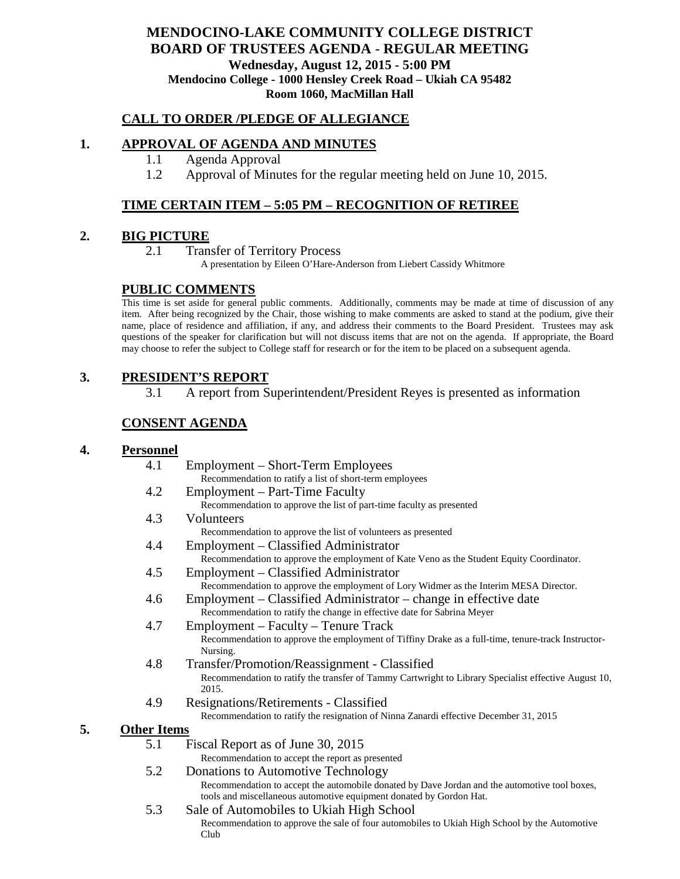## **MENDOCINO-LAKE COMMUNITY COLLEGE DISTRICT BOARD OF TRUSTEES AGENDA** - **REGULAR MEETING Wednesday, August 12, 2015 - 5:00 PM Mendocino College - 1000 Hensley Creek Road – Ukiah CA 95482 Room 1060, MacMillan Hall**

### **CALL TO ORDER /PLEDGE OF ALLEGIANCE**

#### **1. APPROVAL OF AGENDA AND MINUTES**

- 1.1 Agenda Approval
- 1.2 Approval of Minutes for the regular meeting held on June 10, 2015.

### **TIME CERTAIN ITEM – 5:05 PM – RECOGNITION OF RETIREE**

### **2. BIG PICTURE**

2.1 Transfer of Territory Process

A presentation by Eileen O'Hare-Anderson from Liebert Cassidy Whitmore

### **PUBLIC COMMENTS**

This time is set aside for general public comments. Additionally, comments may be made at time of discussion of any item. After being recognized by the Chair, those wishing to make comments are asked to stand at the podium, give their name, place of residence and affiliation, if any, and address their comments to the Board President. Trustees may ask questions of the speaker for clarification but will not discuss items that are not on the agenda. If appropriate, the Board may choose to refer the subject to College staff for research or for the item to be placed on a subsequent agenda.

## **3. PRESIDENT'S REPORT**

3.1 A report from Superintendent/President Reyes is presented as information

## **CONSENT AGENDA**

#### **4. Personnel**

4.1 Employment – Short-Term Employees Recommendation to ratify a list of short-term employees 4.2 Employment – Part-Time Faculty Recommendation to approve the list of part-time faculty as presented 4.3 Volunteers Recommendation to approve the list of volunteers as presented 4.4 Employment – Classified Administrator Recommendation to approve the employment of Kate Veno as the Student Equity Coordinator. 4.5 Employment – Classified Administrator Recommendation to approve the employment of Lory Widmer as the Interim MESA Director. 4.6 Employment – Classified Administrator – change in effective date Recommendation to ratify the change in effective date for Sabrina Meyer 4.7 Employment – Faculty – Tenure Track Recommendation to approve the employment of Tiffiny Drake as a full-time, tenure-track Instructor-Nursing. 4.8 Transfer/Promotion/Reassignment - Classified Recommendation to ratify the transfer of Tammy Cartwright to Library Specialist effective August 10, 2015. 4.9 Resignations/Retirements - Classified Recommendation to ratify the resignation of Ninna Zanardi effective December 31, 2015

#### **5. Other Items**

5.1 Fiscal Report as of June 30, 2015

Recommendation to accept the report as presented

- 5.2 Donations to Automotive Technology Recommendation to accept the automobile donated by Dave Jordan and the automotive tool boxes, tools and miscellaneous automotive equipment donated by Gordon Hat.
- 5.3 Sale of Automobiles to Ukiah High School Recommendation to approve the sale of four automobiles to Ukiah High School by the Automotive Club